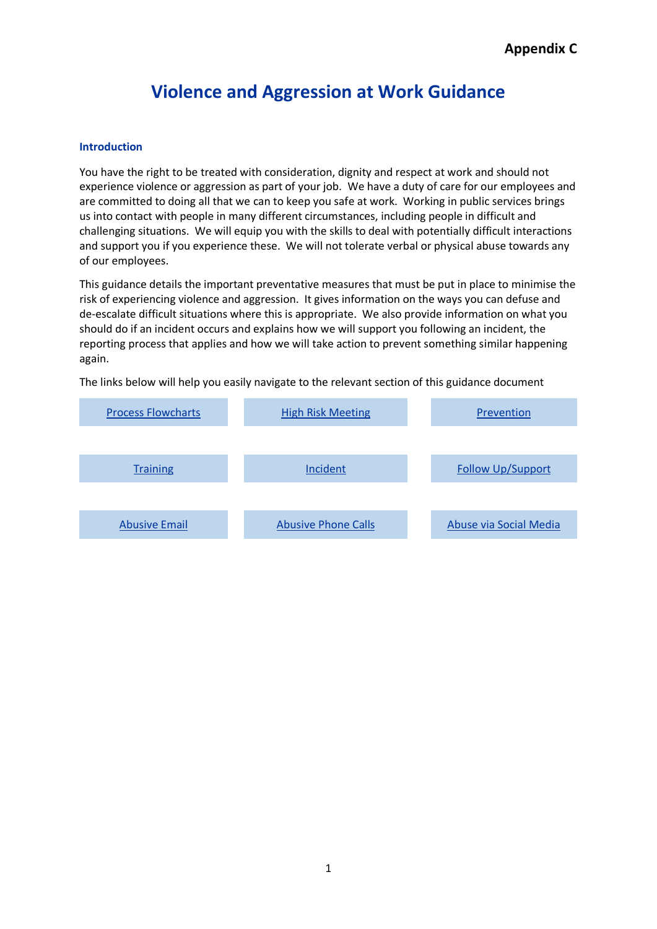## **Violence and Aggression at Work Guidance**

#### **Introduction**

You have the right to be treated with consideration, dignity and respect at work and should not experience violence or aggression as part of your job. We have a duty of care for our employees and are committed to doing all that we can to keep you safe at work. Working in public services brings us into contact with people in many different circumstances, including people in difficult and challenging situations. We will equip you with the skills to deal with potentially difficult interactions and support you if you experience these. We will not tolerate verbal or physical abuse towards any of our employees.

This guidance details the important preventative measures that must be put in place to minimise the risk of experiencing violence and aggression. It gives information on the ways you can defuse and de-escalate difficult situations where this is appropriate. We also provide information on what you should do if an incident occurs and explains how we will support you following an incident, the reporting process that applies and how we will take action to prevent something similar happening again.

<span id="page-0-0"></span>The links below will help you easily navigate to the relevant section of this guidance document

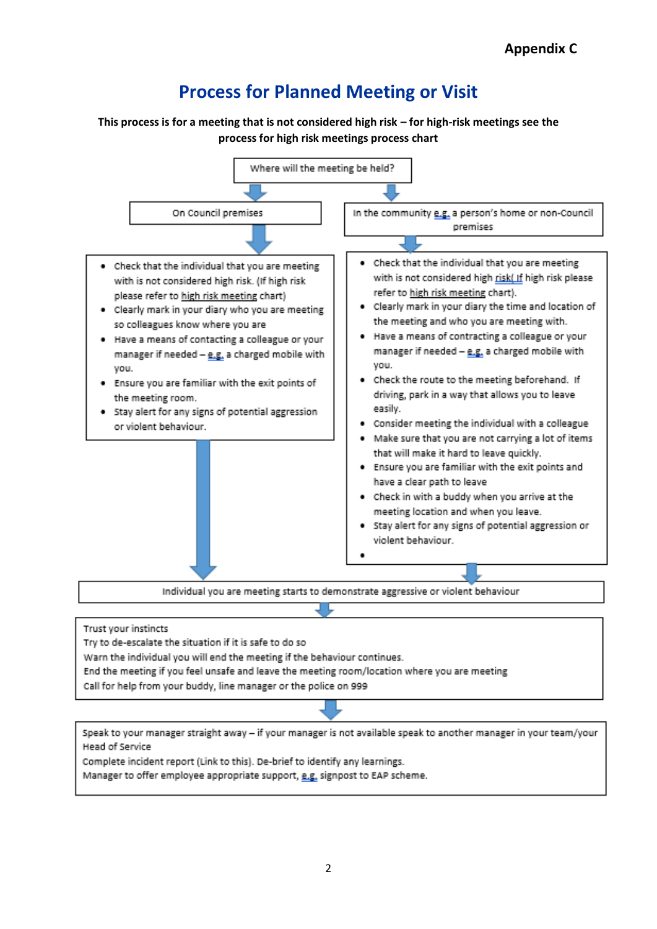# **Process for Planned Meeting or Visit**

<span id="page-1-0"></span>**This process is for a meeting that is not considered high risk – for high-risk meetings see the process for high risk meetings process chart**

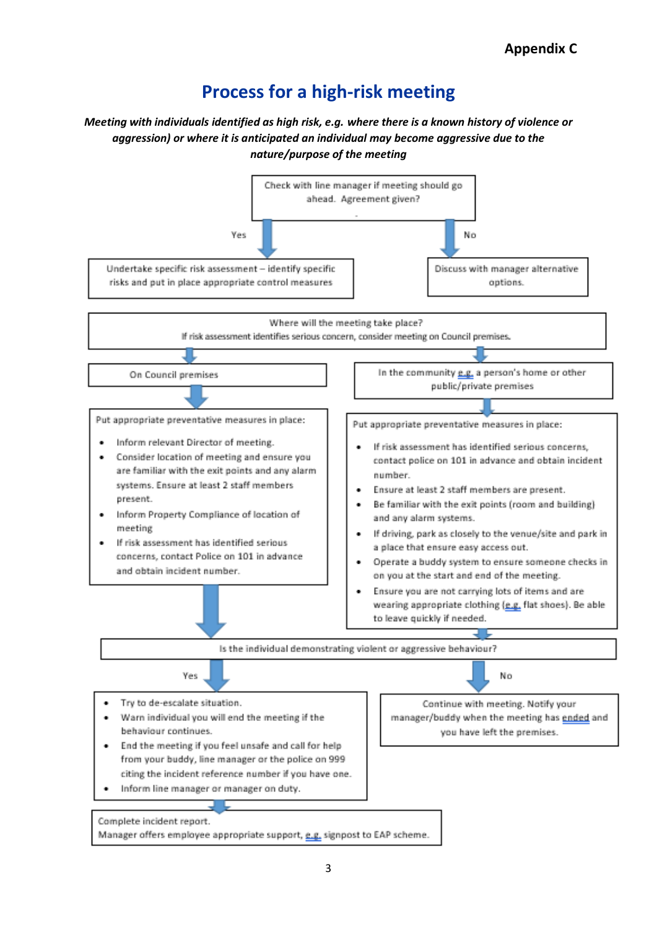## **Process for a high-risk meeting**

## *Meeting with individuals identified as high risk, e.g. where there is a known history of violence or aggression) or where it is anticipated an individual may become aggressive due to the nature/purpose of the meeting*

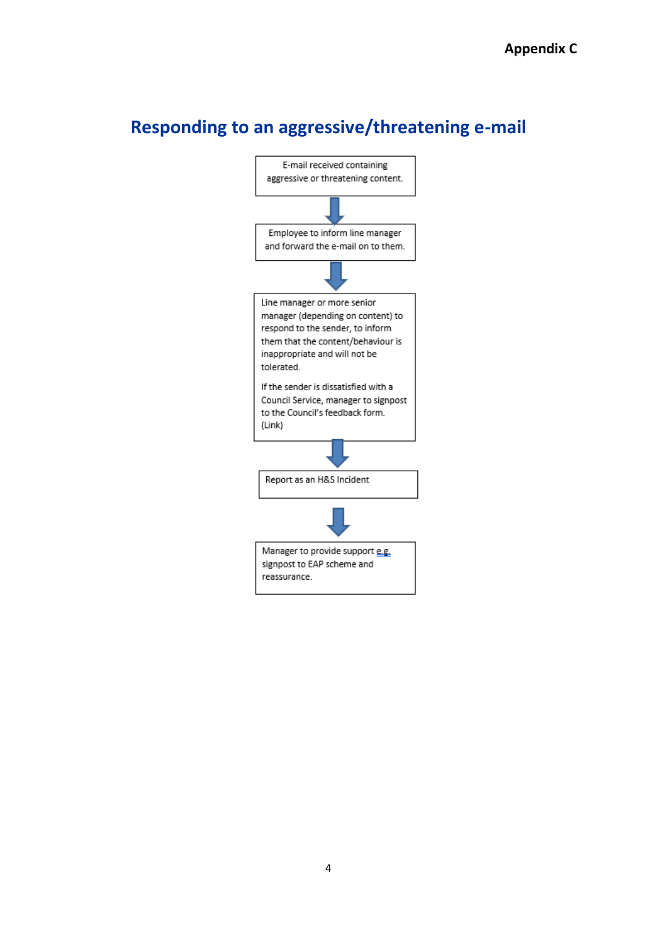## **Responding to an aggressive/threatening e-mail**

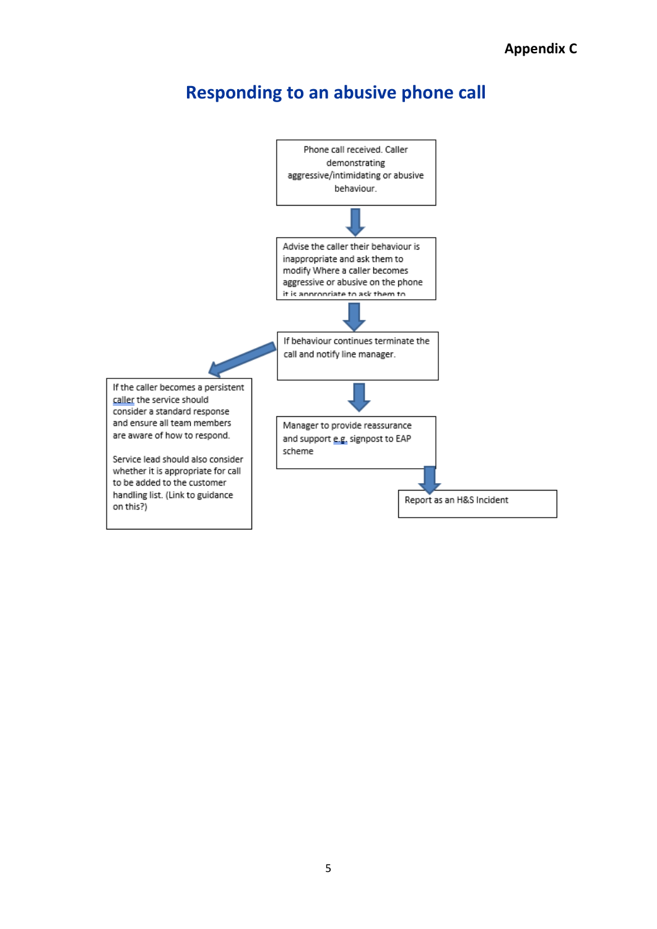## **Responding to an abusive phone call**

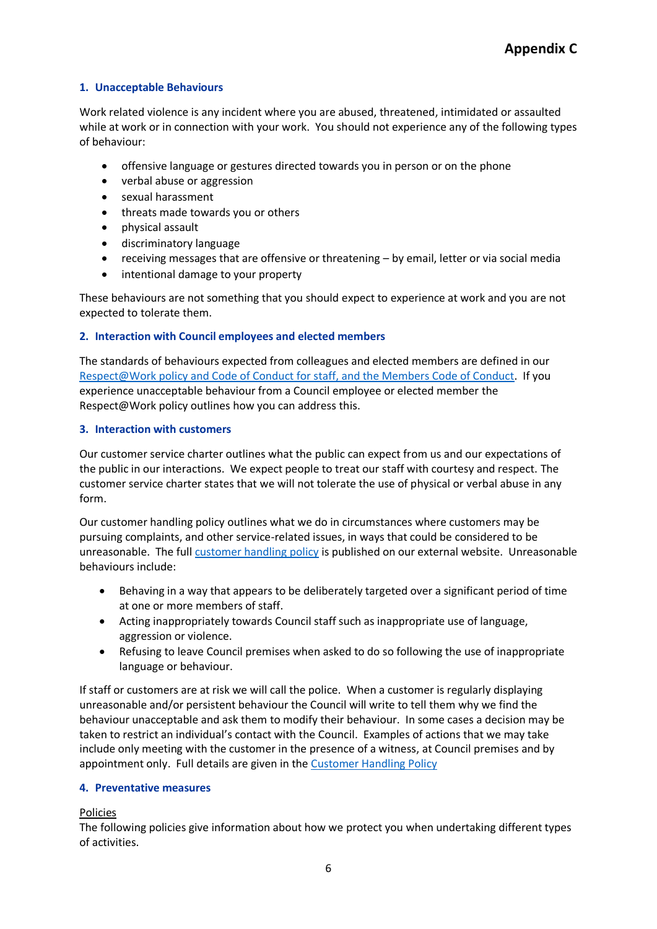### **1. Unacceptable Behaviours**

Work related violence is any incident where you are abused, threatened, intimidated or assaulted while at work or in connection with your work. You should not experience any of the following types of behaviour:

- offensive language or gestures directed towards you in person or on the phone
- verbal abuse or aggression
- sexual harassment
- threats made towards you or others
- physical assault
- discriminatory language
- receiving messages that are offensive or threatening by email, letter or via social media
- intentional damage to your property

These behaviours are not something that you should expect to experience at work and you are not expected to tolerate them.

### **2. Interaction with Council employees and elected members**

The standards of behaviours expected from colleagues and elected members are defined in our [Respect@Work policy](https://cccandpcc.sharepoint.com/sites/CCCHR/Shared%20Documents/Forms/AllItems.aspx?id=%2Fsites%2FCCCHR%2FShared%20Documents%2FA%20%2D%20Z%20of%20HR%20Information%2FRespect%20at%20Work%20Summary%2Epdf&parent=%2Fsites%2FCCCHR%2FShared%20Documents%2FA%20%2D%20Z%20of%20HR%20Information) and Code of Conduct for staff, and the Members Code of Conduct. If you experience unacceptable behaviour from a Council employee or elected member the Respect@Work policy outlines how you can address this.

### **3. Interaction with customers**

Our customer service charter outlines what the public can expect from us and our expectations of the public in our interactions. We expect people to treat our staff with courtesy and respect. The customer service charter states that we will not tolerate the use of physical or verbal abuse in any form.

Our customer handling policy outlines what we do in circumstances where customers may be pursuing complaints, and other service-related issues, in ways that could be considered to be unreasonable. The ful[l customer handling policy](https://www.cambridgeshire.gov.uk/council/contact-us/council-complaints-procedures/customer-handling-policy) is published on our external website. Unreasonable behaviours include:

- Behaving in a way that appears to be deliberately targeted over a significant period of time at one or more members of staff.
- Acting inappropriately towards Council staff such as inappropriate use of language, aggression or violence.
- Refusing to leave Council premises when asked to do so following the use of inappropriate language or behaviour.

If staff or customers are at risk we will call the police. When a customer is regularly displaying unreasonable and/or persistent behaviour the Council will write to tell them why we find the behaviour unacceptable and ask them to modify their behaviour. In some cases a decision may be taken to restrict an individual's contact with the Council. Examples of actions that we may take include only meeting with the customer in the presence of a witness, at Council premises and by appointment only. Full details are given in the [Customer Handling Policy](https://www.cambridgeshire.gov.uk/council/contact-us/council-complaints-procedures/customer-handling-policy)

### **4. Preventative measures**

### Policies

The following policies give information about how we protect you when undertaking different types of activities.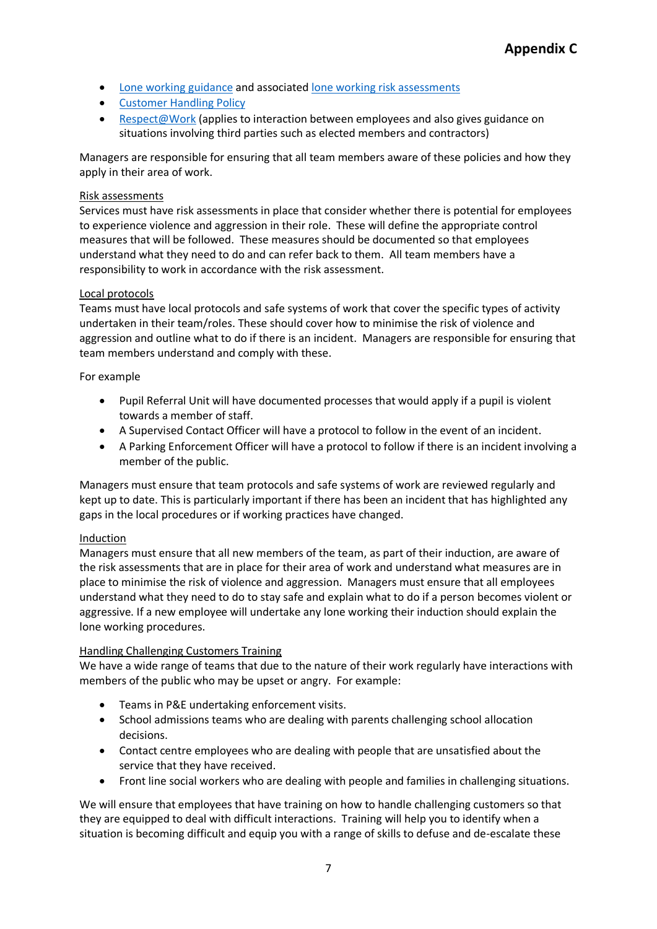- [Lone working guidance](https://cccandpcc.sharepoint.com/:w:/r/sites/CCCHealthSafety/_layouts/15/Doc.aspx?sourcedoc=%7B78B15869-F8B2-461F-BB53-EC1DE897ADE3%7D&file=LWPS%20-%20Guidance.docx&action=default&mobileredirect=true) and associated [lone working risk assessments](https://cccandpcc.sharepoint.com/sites/CCCHealthSafety/Shared%20Documents/Forms/AllItems.aspx?csf=1&web=1&e=tUgvkt&cid=7336f362%2D83d6%2D48d9%2Db9b8%2Dcf1f14873423&RootFolder=%2Fsites%2FCCCHealthSafety%2FShared%20Documents%2FLone%20Working&FolderCTID=0x012000739B92CA28A45044A4C4D98D5C414FCB)
- [Customer Handling Policy](https://www.cambridgeshire.gov.uk/council/contact-us/council-complaints-procedures/customer-handling-policy)
- [Respect@Work](https://cccandpcc.sharepoint.com/sites/CCCHR/Shared%20Documents/Forms/AllItems.aspx?id=%2Fsites%2FCCCHR%2FShared%20Documents%2FA%20%2D%20Z%20of%20HR%20Information%2FRespect%20at%20Work%20Summary%2Epdf&parent=%2Fsites%2FCCCHR%2FShared%20Documents%2FA%20%2D%20Z%20of%20HR%20Information) (applies to interaction between employees and also gives guidance on situations involving third parties such as elected members and contractors)

Managers are responsible for ensuring that all team members aware of these policies and how they apply in their area of work.

#### Risk assessments

Services must have risk assessments in place that consider whether there is potential for employees to experience violence and aggression in their role. These will define the appropriate control measures that will be followed. These measures should be documented so that employees understand what they need to do and can refer back to them. All team members have a responsibility to work in accordance with the risk assessment.

#### Local protocols

Teams must have local protocols and safe systems of work that cover the specific types of activity undertaken in their team/roles. These should cover how to minimise the risk of violence and aggression and outline what to do if there is an incident. Managers are responsible for ensuring that team members understand and comply with these.

#### For example

- Pupil Referral Unit will have documented processes that would apply if a pupil is violent towards a member of staff.
- A Supervised Contact Officer will have a protocol to follow in the event of an incident.
- A Parking Enforcement Officer will have a protocol to follow if there is an incident involving a member of the public.

Managers must ensure that team protocols and safe systems of work are reviewed regularly and kept up to date. This is particularly important if there has been an incident that has highlighted any gaps in the local procedures or if working practices have changed.

#### Induction

Managers must ensure that all new members of the team, as part of their induction, are aware of the risk assessments that are in place for their area of work and understand what measures are in place to minimise the risk of violence and aggression. Managers must ensure that all employees understand what they need to do to stay safe and explain what to do if a person becomes violent or aggressive. If a new employee will undertake any lone working their induction should explain the lone working procedures.

### <span id="page-6-0"></span>Handling Challenging Customers Training

We have a wide range of teams that due to the nature of their work regularly have interactions with members of the public who may be upset or angry. For example:

- Teams in P&E undertaking enforcement visits.
- School admissions teams who are dealing with parents challenging school allocation decisions.
- Contact centre employees who are dealing with people that are unsatisfied about the service that they have received.
- Front line social workers who are dealing with people and families in challenging situations.

We will ensure that employees that have training on how to handle challenging customers so that they are equipped to deal with difficult interactions. Training will help you to identify when a situation is becoming difficult and equip you with a range of skills to defuse and de-escalate these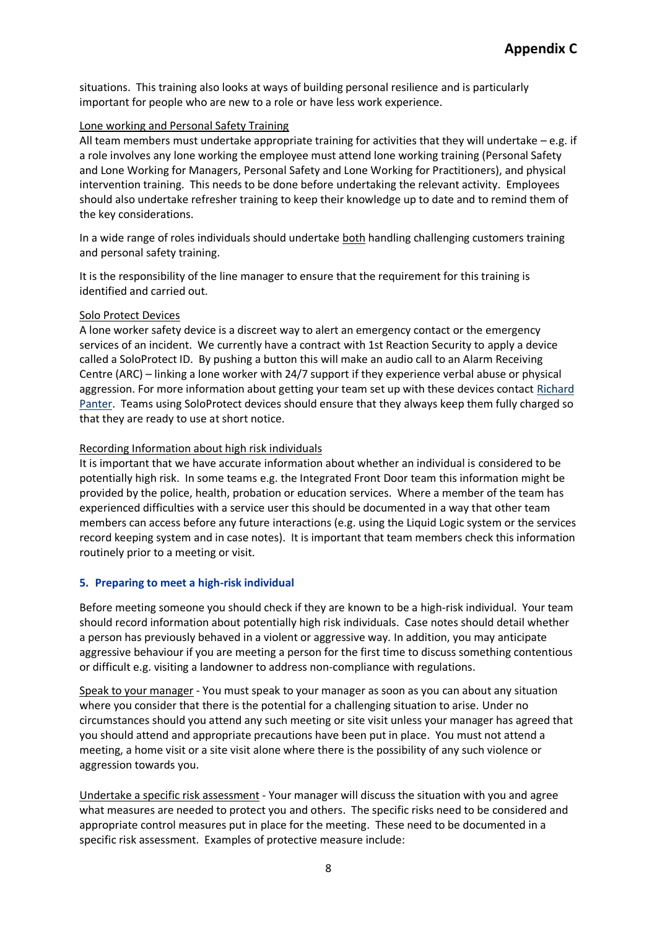situations. This training also looks at ways of building personal resilience and is particularly important for people who are new to a role or have less work experience.

#### Lone working and Personal Safety Training

All team members must undertake appropriate training for activities that they will undertake – e.g. if a role involves any lone working the employee must attend lone working training (Personal Safety and Lone Working for Managers, Personal Safety and Lone Working for Practitioners), and physical intervention training. This needs to be done before undertaking the relevant activity. Employees should also undertake refresher training to keep their knowledge up to date and to remind them of the key considerations.

In a wide range of roles individuals should undertake both handling challenging customers training and personal safety training.

It is the responsibility of the line manager to ensure that the requirement for this training is identified and carried out.

### Solo Protect Devices

A lone worker safety device is a discreet way to alert an emergency contact or the emergency services of an incident. We currently have a contract with 1st Reaction Security to apply a device called a SoloProtect ID. By pushing a button this will make an audio call to an Alarm Receiving Centre (ARC) – linking a lone worker with 24/7 support if they experience verbal abuse or physical aggression. For more information about getting your team set up with these devices contact [Richard](mailto:richard.panter@cambridgeshire.gov.uk)  [Panter.](mailto:richard.panter@cambridgeshire.gov.uk) Teams using SoloProtect devices should ensure that they always keep them fully charged so that they are ready to use at short notice.

### Recording Information about high risk individuals

It is important that we have accurate information about whether an individual is considered to be potentially high risk. In some teams e.g. the Integrated Front Door team this information might be provided by the police, health, probation or education services. Where a member of the team has experienced difficulties with a service user this should be documented in a way that other team members can access before any future interactions (e.g. using the Liquid Logic system or the services record keeping system and in case notes). It is important that team members check this information routinely prior to a meeting or visit.

### <span id="page-7-0"></span>**5. Preparing to meet a high-risk individual**

Before meeting someone you should check if they are known to be a high-risk individual. Your team should record information about potentially high risk individuals. Case notes should detail whether a person has previously behaved in a violent or aggressive way. In addition, you may anticipate aggressive behaviour if you are meeting a person for the first time to discuss something contentious or difficult e.g. visiting a landowner to address non-compliance with regulations.

Speak to your manager - You must speak to your manager as soon as you can about any situation where you consider that there is the potential for a challenging situation to arise. Under no circumstances should you attend any such meeting or site visit unless your manager has agreed that you should attend and appropriate precautions have been put in place. You must not attend a meeting, a home visit or a site visit alone where there is the possibility of any such violence or aggression towards you.

Undertake a specific risk assessment - Your manager will discuss the situation with you and agree what measures are needed to protect you and others. The specific risks need to be considered and appropriate control measures put in place for the meeting. These need to be documented in a specific risk assessment. Examples of protective measure include: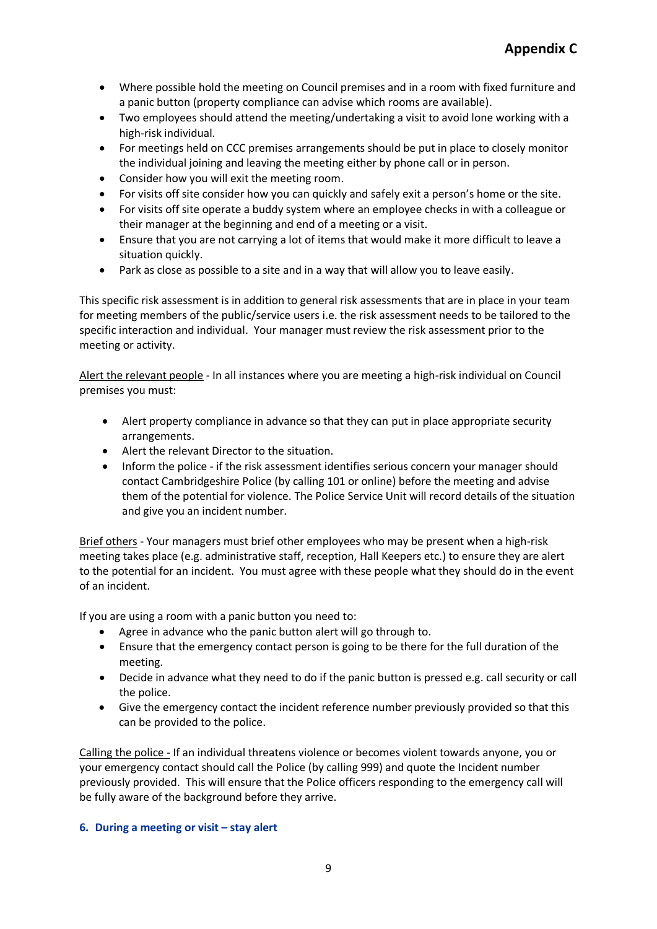- Where possible hold the meeting on Council premises and in a room with fixed furniture and a panic button (property compliance can advise which rooms are available).
- Two employees should attend the meeting/undertaking a visit to avoid lone working with a high-risk individual.
- For meetings held on CCC premises arrangements should be put in place to closely monitor the individual joining and leaving the meeting either by phone call or in person.
- Consider how you will exit the meeting room.
- For visits off site consider how you can quickly and safely exit a person's home or the site.
- For visits off site operate a buddy system where an employee checks in with a colleague or their manager at the beginning and end of a meeting or a visit.
- Ensure that you are not carrying a lot of items that would make it more difficult to leave a situation quickly.
- Park as close as possible to a site and in a way that will allow you to leave easily.

This specific risk assessment is in addition to general risk assessments that are in place in your team for meeting members of the public/service users i.e. the risk assessment needs to be tailored to the specific interaction and individual. Your manager must review the risk assessment prior to the meeting or activity.

Alert the relevant people - In all instances where you are meeting a high-risk individual on Council premises you must:

- Alert property compliance in advance so that they can put in place appropriate security arrangements.
- Alert the relevant Director to the situation.
- Inform the police if the risk assessment identifies serious concern your manager should contact Cambridgeshire Police (by calling 101 or online) before the meeting and advise them of the potential for violence. The Police Service Unit will record details of the situation and give you an incident number.

Brief others - Your managers must brief other employees who may be present when a high-risk meeting takes place (e.g. administrative staff, reception, Hall Keepers etc.) to ensure they are alert to the potential for an incident. You must agree with these people what they should do in the event of an incident.

If you are using a room with a panic button you need to:

- Agree in advance who the panic button alert will go through to.
- Ensure that the emergency contact person is going to be there for the full duration of the meeting.
- Decide in advance what they need to do if the panic button is pressed e.g. call security or call the police.
- Give the emergency contact the incident reference number previously provided so that this can be provided to the police.

Calling the police - If an individual threatens violence or becomes violent towards anyone, you or your emergency contact should call the Police (by calling 999) and quote the Incident number previously provided. This will ensure that the Police officers responding to the emergency call will be fully aware of the background before they arrive.

### **6. During a meeting or visit – stay alert**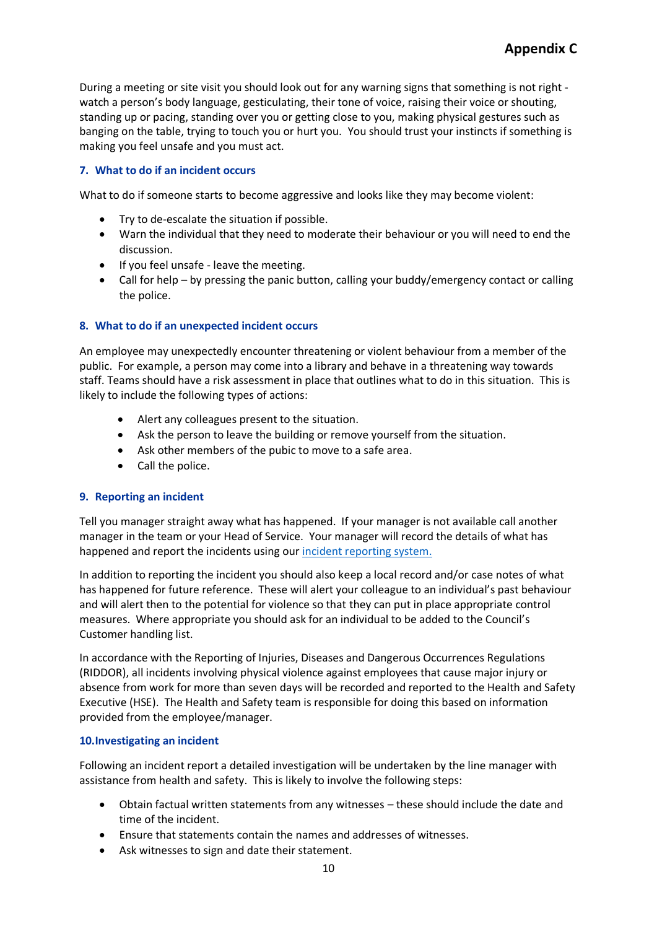During a meeting or site visit you should look out for any warning signs that something is not right watch a person's body language, gesticulating, their tone of voice, raising their voice or shouting, standing up or pacing, standing over you or getting close to you, making physical gestures such as banging on the table, trying to touch you or hurt you. You should trust your instincts if something is making you feel unsafe and you must act.

## <span id="page-9-0"></span>**7. What to do if an incident occurs**

What to do if someone starts to become aggressive and looks like they may become violent:

- Try to de-escalate the situation if possible.
- Warn the individual that they need to moderate their behaviour or you will need to end the discussion.
- If you feel unsafe leave the meeting.
- Call for help by pressing the panic button, calling your buddy/emergency contact or calling the police.

### **8. What to do if an unexpected incident occurs**

An employee may unexpectedly encounter threatening or violent behaviour from a member of the public. For example, a person may come into a library and behave in a threatening way towards staff. Teams should have a risk assessment in place that outlines what to do in this situation. This is likely to include the following types of actions:

- Alert any colleagues present to the situation.
- Ask the person to leave the building or remove yourself from the situation.
- Ask other members of the pubic to move to a safe area.
- Call the police.

### <span id="page-9-1"></span>**9. Reporting an incident**

Tell you manager straight away what has happened. If your manager is not available call another manager in the team or your Head of Service. Your manager will record the details of what has happened and report the incidents using our [incident reporting system.](https://www.reportincident.co.uk/Cambridgeshire)

In addition to reporting the incident you should also keep a local record and/or case notes of what has happened for future reference. These will alert your colleague to an individual's past behaviour and will alert then to the potential for violence so that they can put in place appropriate control measures. Where appropriate you should ask for an individual to be added to the Council's Customer handling list.

In accordance with the Reporting of Injuries, Diseases and Dangerous Occurrences Regulations (RIDDOR), all incidents involving physical violence against employees that cause major injury or absence from work for more than seven days will be recorded and reported to the Health and Safety Executive (HSE). The Health and Safety team is responsible for doing this based on information provided from the employee/manager.

### **10.Investigating an incident**

Following an incident report a detailed investigation will be undertaken by the line manager with assistance from health and safety. This is likely to involve the following steps:

- Obtain factual written statements from any witnesses these should include the date and time of the incident.
- Ensure that statements contain the names and addresses of witnesses.
- Ask witnesses to sign and date their statement.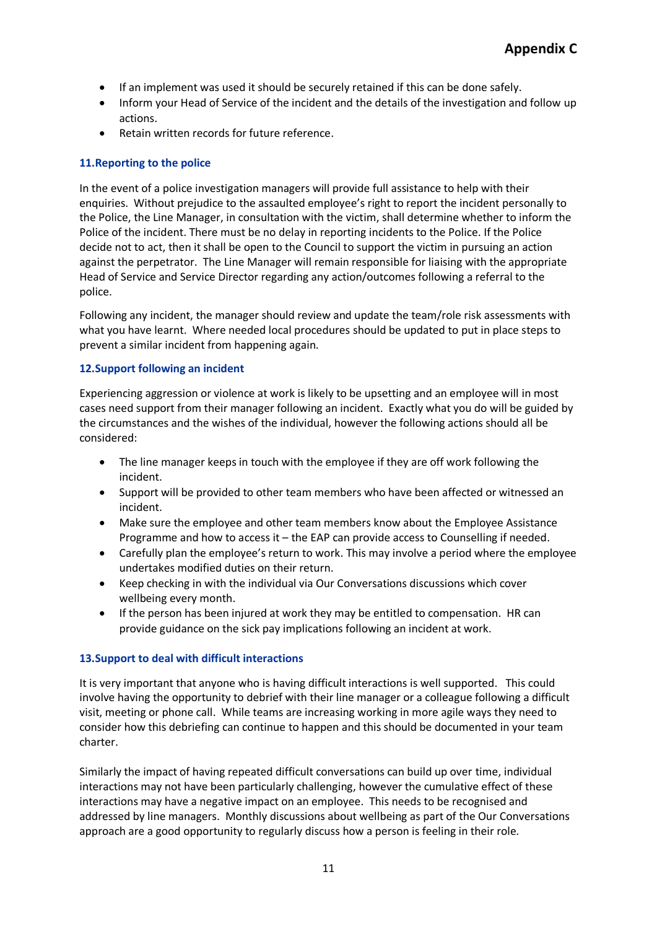- If an implement was used it should be securely retained if this can be done safely.
- Inform your Head of Service of the incident and the details of the investigation and follow up actions.
- Retain written records for future reference.

## **11.Reporting to the police**

In the event of a police investigation managers will provide full assistance to help with their enquiries. Without prejudice to the assaulted employee's right to report the incident personally to the Police, the Line Manager, in consultation with the victim, shall determine whether to inform the Police of the incident. There must be no delay in reporting incidents to the Police. If the Police decide not to act, then it shall be open to the Council to support the victim in pursuing an action against the perpetrator. The Line Manager will remain responsible for liaising with the appropriate Head of Service and Service Director regarding any action/outcomes following a referral to the police.

Following any incident, the manager should review and update the team/role risk assessments with what you have learnt. Where needed local procedures should be updated to put in place steps to prevent a similar incident from happening again.

### **12.Support following an incident**

Experiencing aggression or violence at work is likely to be upsetting and an employee will in most cases need support from their manager following an incident. Exactly what you do will be guided by the circumstances and the wishes of the individual, however the following actions should all be considered:

- The line manager keeps in touch with the employee if they are off work following the incident.
- Support will be provided to other team members who have been affected or witnessed an incident.
- Make sure the employee and other team members know about the Employee Assistance Programme and how to access it – the EAP can provide access to Counselling if needed.
- Carefully plan the employee's return to work. This may involve a period where the employee undertakes modified duties on their return.
- Keep checking in with the individual via Our Conversations discussions which cover wellbeing every month.
- If the person has been injured at work they may be entitled to compensation. HR can provide guidance on the sick pay implications following an incident at work.

### **13.Support to deal with difficult interactions**

It is very important that anyone who is having difficult interactions is well supported. This could involve having the opportunity to debrief with their line manager or a colleague following a difficult visit, meeting or phone call. While teams are increasing working in more agile ways they need to consider how this debriefing can continue to happen and this should be documented in your team charter.

Similarly the impact of having repeated difficult conversations can build up over time, individual interactions may not have been particularly challenging, however the cumulative effect of these interactions may have a negative impact on an employee. This needs to be recognised and addressed by line managers. Monthly discussions about wellbeing as part of the Our Conversations approach are a good opportunity to regularly discuss how a person is feeling in their role.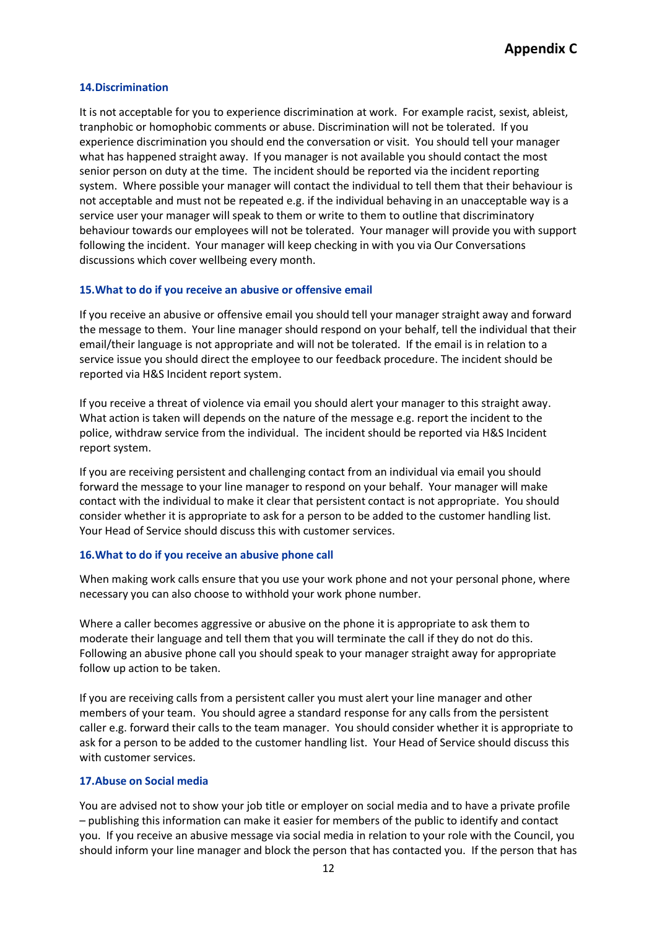#### <span id="page-11-0"></span>**14.Discrimination**

It is not acceptable for you to experience discrimination at work. For example racist, sexist, ableist, tranphobic or homophobic comments or abuse. Discrimination will not be tolerated. If you experience discrimination you should end the conversation or visit. You should tell your manager what has happened straight away. If you manager is not available you should contact the most senior person on duty at the time. The incident should be reported via the incident reporting system. Where possible your manager will contact the individual to tell them that their behaviour is not acceptable and must not be repeated e.g. if the individual behaving in an unacceptable way is a service user your manager will speak to them or write to them to outline that discriminatory behaviour towards our employees will not be tolerated. Your manager will provide you with support following the incident. Your manager will keep checking in with you via Our Conversations discussions which cover wellbeing every month.

#### **15.What to do if you receive an abusive or offensive email**

If you receive an abusive or offensive email you should tell your manager straight away and forward the message to them. Your line manager should respond on your behalf, tell the individual that their email/their language is not appropriate and will not be tolerated. If the email is in relation to a service issue you should direct the employee to our feedback procedure. The incident should be reported via H&S Incident report system.

If you receive a threat of violence via email you should alert your manager to this straight away. What action is taken will depends on the nature of the message e.g. report the incident to the police, withdraw service from the individual. The incident should be reported via H&S Incident report system.

If you are receiving persistent and challenging contact from an individual via email you should forward the message to your line manager to respond on your behalf. Your manager will make contact with the individual to make it clear that persistent contact is not appropriate. You should consider whether it is appropriate to ask for a person to be added to the customer handling list. Your Head of Service should discuss this with customer services.

#### <span id="page-11-1"></span>**16.What to do if you receive an abusive phone call**

When making work calls ensure that you use your work phone and not your personal phone, where necessary you can also choose to withhold your work phone number.

Where a caller becomes aggressive or abusive on the phone it is appropriate to ask them to moderate their language and tell them that you will terminate the call if they do not do this. Following an abusive phone call you should speak to your manager straight away for appropriate follow up action to be taken.

If you are receiving calls from a persistent caller you must alert your line manager and other members of your team. You should agree a standard response for any calls from the persistent caller e.g. forward their calls to the team manager. You should consider whether it is appropriate to ask for a person to be added to the customer handling list. Your Head of Service should discuss this with customer services.

#### <span id="page-11-2"></span>**17.Abuse on Social media**

You are advised not to show your job title or employer on social media and to have a private profile – publishing this information can make it easier for members of the public to identify and contact you. If you receive an abusive message via social media in relation to your role with the Council, you should inform your line manager and block the person that has contacted you. If the person that has